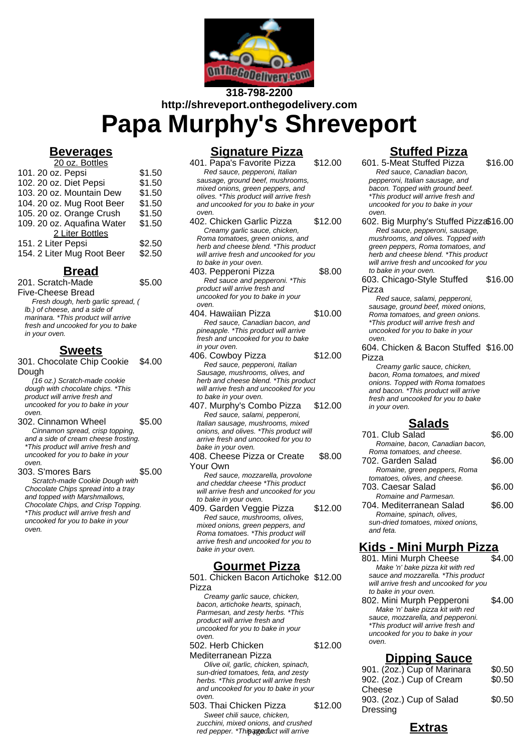

# **318-798-2200 http://shreveport.onthegodelivery.com**

**Papa Murphy's Shreveport**

### **Beverages**

| 20 oz. Bottles             |        |
|----------------------------|--------|
| 101. 20 oz. Pepsi          | \$1.50 |
| 102. 20 oz. Diet Pepsi     | \$1.50 |
| 103. 20 oz. Mountain Dew   | \$1.50 |
| 104. 20 oz. Mug Root Beer  | \$1.50 |
| 105. 20 oz. Orange Crush   | \$1.50 |
| 109. 20 oz. Aquafina Water | \$1.50 |
| 2 Liter Bottles            |        |
| 151. 2 Liter Pepsi         | \$2.50 |
| 154. 2 Liter Mug Root Beer | \$2.50 |

### **Bread**

201. Scratch-Made Five-Cheese Bread \$5.00 Fresh dough, herb garlic spread, ( lb.) of cheese, and a side of

marinara. \*This product will arrive fresh and uncooked for you to bake in your oven.

#### **Sweets**

301. Chocolate Chip Cookie Dough  $$4.00$ 

(16 oz.) Scratch-made cookie dough with chocolate chips. \*This product will arrive fresh and uncooked for you to bake in your oven.

- 302. Cinnamon Wheel \$5.00 Cinnamon spread, crisp topping, and a side of cream cheese frosting. \*This product will arrive fresh and uncooked for you to bake in your oven.
- 

303. S'mores Bars \$5.00

Scratch-made Cookie Dough with Chocolate Chips spread into a tray and topped with Marshmallows, Chocolate Chips, and Crisp Topping. \*This product will arrive fresh and uncooked for you to bake in your oven.

### **Signature Pizza**

- 401. Papa's Favorite Pizza \$12.00 Red sauce, pepperoni, Italian sausage, ground beef, mushrooms, mixed onions, green peppers, and olives. \*This product will arrive fresh and uncooked for you to bake in your oven. 402. Chicken Garlic Pizza \$12.00
- Creamy garlic sauce, chicken, Roma tomatoes, green onions, and herb and cheese blend. \*This product will arrive fresh and uncooked for you to bake in your oven.
- 403. Pepperoni Pizza \$8.00 Red sauce and pepperoni. \*This product will arrive fresh and uncooked for you to bake in your oven.
- 404. Hawaiian Pizza \$10.00 Red sauce, Canadian bacon, and pineapple. \*This product will arrive fresh and uncooked for you to bake in your oven.
- 406. Cowboy Pizza \$12.00 Red sauce, pepperoni, Italian Sausage, mushrooms, olives, and herb and cheese blend. \*This product will arrive fresh and uncooked for you to bake in your oven.
- 407. Murphy's Combo Pizza \$12.00 Red sauce, salami, pepperoni, Italian sausage, mushrooms, mixed onions, and olives. \*This product will arrive fresh and uncooked for you to bake in your oven.
- 408. Cheese Pizza or Create Your Own  $$8.00$

Red sauce, mozzarella, provolone and cheddar cheese \*This product will arrive fresh and uncooked for you to bake in your oven.

409. Garden Veggie Pizza \$12.00 Red sauce, mushrooms, olives, mixed onions, green peppers, and Roma tomatoes. \*This product will arrive fresh and uncooked for you to bake in your oven.

#### **Gourmet Pizza**

501. Chicken Bacon Artichoke \$12.00 Pizza

Creamy garlic sauce, chicken, bacon, artichoke hearts, spinach, Parmesan, and zesty herbs. \*This product will arrive fresh and uncooked for you to bake in your oven.

502. Herb Chicken Mediterranean Pizza \$12.00

Olive oil, garlic, chicken, spinach, sun-dried tomatoes, feta, and zesty herbs. \*This product will arrive fresh and uncooked for you to bake in your oven.

503. Thai Chicken Pizza \$12.00 Sweet chili sauce, chicken, zucchini, mixed onions, and crushed zucchini, mixed onions, and crushed<br>red pepper. \*Th**is product will arrive** 

## **Stuffed Pizza**

- 601. 5-Meat Stuffed Pizza \$16.00 Red sauce, Canadian bacon, pepperoni, Italian sausage, and bacon. Topped with ground beef. \*This product will arrive fresh and uncooked for you to bake in your oven.
- 602. Big Murphy's Stuffed Pizza\$16.00 Red sauce, pepperoni, sausage, mushrooms, and olives. Topped with green peppers, Roma tomatoes, and herb and cheese blend. \*This product will arrive fresh and uncooked for you to bake in your oven.

603. Chicago-Style Stuffed Pizza \$16.00

Red sauce, salami, pepperoni, sausage, ground beef, mixed onions, Roma tomatoes, and green onions. \*This product will arrive fresh and uncooked for you to bake in your oven.

#### 604. Chicken & Bacon Stuffed \$16.00 Pizza

Creamy garlic sauce, chicken, bacon, Roma tomatoes, and mixed onions. Topped with Roma tomatoes and bacon. \*This product will arrive fresh and uncooked for you to bake in your oven.

#### **Salads**

701. Club Salad \$6.00 Romaine, bacon, Canadian bacon, Roma tomatoes, and cheese. 702. Garden Salad \$6.00 Romaine, green peppers, Roma tomatoes, olives, and cheese. 703. Caesar Salad \$6.00 Romaine and Parmesan. 704. Mediterranean Salad \$6.00 Romaine, spinach, olives, sun-dried tomatoes, mixed onions, and feta.

#### **Kids - Mini Murph Pizza**

801. Mini Murph Cheese \$4.00 Make 'n' bake pizza kit with red sauce and mozzarella. \*This product will arrive fresh and uncooked for you to bake in your oven.

802. Mini Murph Pepperoni \$4.00 Make 'n' bake pizza kit with red sauce, mozzarella, and pepperoni. \*This product will arrive fresh and uncooked for you to bake in your oven.

| <b>Dipping Sauce</b>        |        |
|-----------------------------|--------|
| 901. (2oz.) Cup of Marinara | \$0.50 |

| \$0.50 |
|--------|
|        |
| \$0.50 |
|        |
|        |